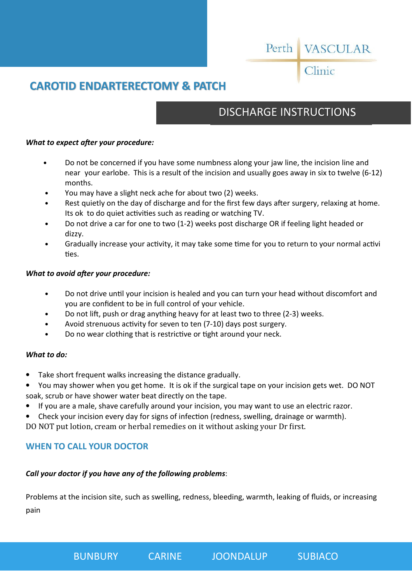# Perth VASCULAR

## Clinic

## **CAROTID ENDARTERECTOMY & PATCH**

## DISCHARGE INSTRUCTIONS

### *What to expect after your procedure:*

- Do not be concerned if you have some numbness along your jaw line, the incision line and near your earlobe. This is a result of the incision and usually goes away in six to twelve (6-12) months.
- You may have a slight neck ache for about two (2) weeks.
- Rest quietly on the day of discharge and for the first few days after surgery, relaxing at home. Its ok to do quiet activities such as reading or watching TV.
- Do not drive a car for one to two (1-2) weeks post discharge OR if feeling light headed or dizzy.
- Gradually increase your activity, it may take some time for you to return to your normal activi ties.

### *What to avoid after your procedure:*

- Do not drive until your incision is healed and you can turn your head without discomfort and you are confident to be in full control of your vehicle.
- Do not lift, push or drag anything heavy for at least two to three (2-3) weeks.
- Avoid strenuous activity for seven to ten (7-10) days post surgery.
- Do no wear clothing that is restrictive or tight around your neck.

### *What to do:*

- Take short frequent walks increasing the distance gradually.
- You may shower when you get home. It is ok if the surgical tape on your incision gets wet. DO NOT soak, scrub or have shower water beat directly on the tape.
- If you are a male, shave carefully around your incision, you may want to use an electric razor.
- Check your incision every day for signs of infection (redness, swelling, drainage or warmth).

DO NOT put lotion, cream or herbal remedies on it without asking your Dr first.

## **WHEN TO CALL YOUR DOCTOR**

### *Call your doctor if you have any of the following problems*:

Problems at the incision site, such as swelling, redness, bleeding, warmth, leaking of fluids, or increasing pain